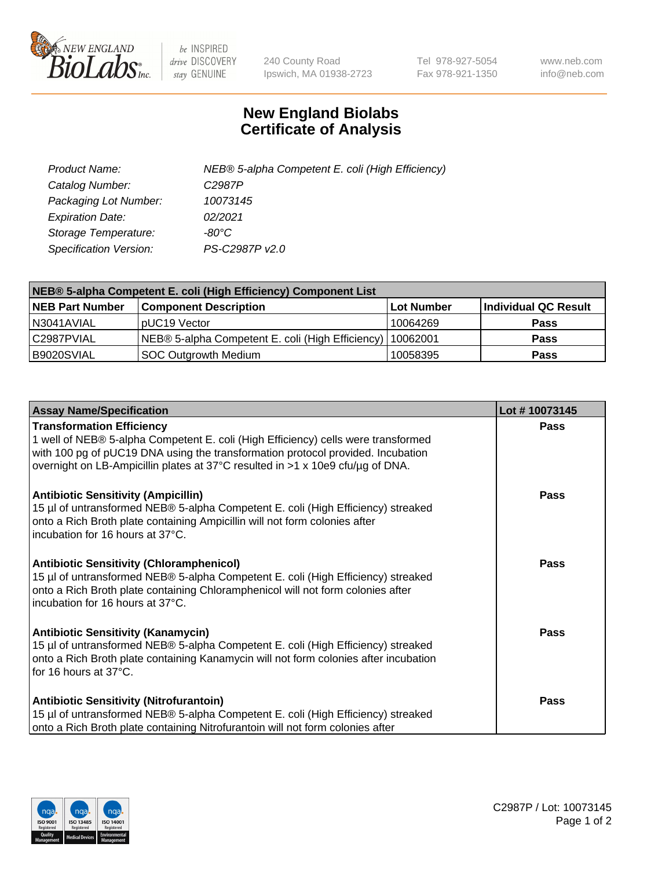

 $be$  INSPIRED drive DISCOVERY stay GENUINE

240 County Road Ipswich, MA 01938-2723 Tel 978-927-5054 Fax 978-921-1350 www.neb.com info@neb.com

## **New England Biolabs Certificate of Analysis**

| Product Name:           | NEB® 5-alpha Competent E. coli (High Efficiency) |
|-------------------------|--------------------------------------------------|
| Catalog Number:         | C <sub>2987</sub> P                              |
| Packaging Lot Number:   | 10073145                                         |
| <b>Expiration Date:</b> | 02/2021                                          |
| Storage Temperature:    | -80°C                                            |
| Specification Version:  | PS-C2987P v2.0                                   |

| NEB® 5-alpha Competent E. coli (High Efficiency) Component List |                                                  |            |                      |  |
|-----------------------------------------------------------------|--------------------------------------------------|------------|----------------------|--|
| <b>NEB Part Number</b>                                          | <b>Component Description</b>                     | Lot Number | Individual QC Result |  |
| N3041AVIAL                                                      | pUC19 Vector                                     | 10064269   | <b>Pass</b>          |  |
| C2987PVIAL                                                      | NEB® 5-alpha Competent E. coli (High Efficiency) | 10062001   | <b>Pass</b>          |  |
| B9020SVIAL                                                      | SOC Outgrowth Medium                             | 10058395   | <b>Pass</b>          |  |

| <b>Assay Name/Specification</b>                                                                                                                                                                                                                                                            | Lot #10073145 |
|--------------------------------------------------------------------------------------------------------------------------------------------------------------------------------------------------------------------------------------------------------------------------------------------|---------------|
| <b>Transformation Efficiency</b><br>1 well of NEB® 5-alpha Competent E. coli (High Efficiency) cells were transformed<br>with 100 pg of pUC19 DNA using the transformation protocol provided. Incubation<br>overnight on LB-Ampicillin plates at 37°C resulted in >1 x 10e9 cfu/µg of DNA. | Pass          |
| <b>Antibiotic Sensitivity (Ampicillin)</b><br>15 µl of untransformed NEB® 5-alpha Competent E. coli (High Efficiency) streaked<br>onto a Rich Broth plate containing Ampicillin will not form colonies after<br>incubation for 16 hours at 37°C.                                           | Pass          |
| <b>Antibiotic Sensitivity (Chloramphenicol)</b><br>15 µl of untransformed NEB® 5-alpha Competent E. coli (High Efficiency) streaked<br>onto a Rich Broth plate containing Chloramphenicol will not form colonies after<br>incubation for 16 hours at 37°C.                                 | Pass          |
| <b>Antibiotic Sensitivity (Kanamycin)</b><br>15 µl of untransformed NEB® 5-alpha Competent E. coli (High Efficiency) streaked<br>onto a Rich Broth plate containing Kanamycin will not form colonies after incubation<br>for 16 hours at 37°C.                                             | <b>Pass</b>   |
| <b>Antibiotic Sensitivity (Nitrofurantoin)</b><br>15 µl of untransformed NEB® 5-alpha Competent E. coli (High Efficiency) streaked<br>onto a Rich Broth plate containing Nitrofurantoin will not form colonies after                                                                       | Pass          |